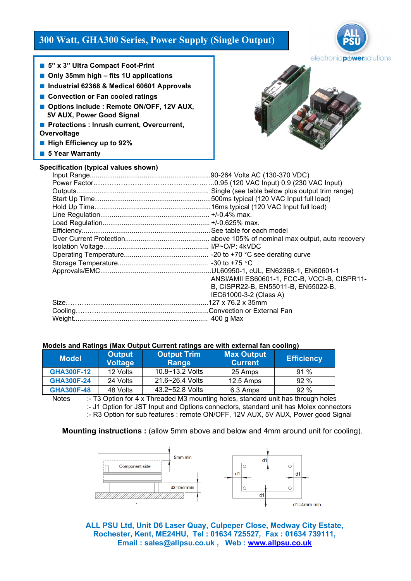# **300 Watt, GHA300 Series, Power Supply (Single Output)**

electronic**pdwer**solutions

- 5" x 3" Ultra Compact Foot-Print
- Only 35mm high fits 1U applications
- **Industrial 62368 & Medical 60601 Approvals**
- **Convection or Fan cooled ratings**
- Options include : Remote ON/OFF, 12V AUX,  **5V AUX, Power Good Signal**
- **Protections : Inrush current, Overcurrent, Overvoltage**
- High Efficiency up to 92%
- **5 Year Warranty**

## **Specification (typical values shown)**



| specification (typical values shown) |                                                 |
|--------------------------------------|-------------------------------------------------|
|                                      |                                                 |
|                                      |                                                 |
|                                      | Single (see table below plus output trim range) |
|                                      |                                                 |
|                                      |                                                 |
|                                      |                                                 |
|                                      |                                                 |
|                                      |                                                 |
|                                      |                                                 |
|                                      |                                                 |
|                                      |                                                 |
|                                      |                                                 |
|                                      |                                                 |
|                                      | ANSI/AMII ES60601-1, FCC-B, VCCI-B, CISPR11-    |
|                                      | B, CISPR22-B, EN55011-B, EN55022-B,             |
|                                      | IEC61000-3-2 (Class A)                          |
|                                      |                                                 |
|                                      |                                                 |
|                                      |                                                 |

### **Models and Ratings (Max Output Current ratings are with external fan cooling)**

| <b>Model</b>      | <b>Output</b><br><b>Voltage</b> | <b>Output Trim</b><br>Range | <b>Max Output</b><br><b>Current</b> | <b>Efficiency</b> |
|-------------------|---------------------------------|-----------------------------|-------------------------------------|-------------------|
| <b>GHA300F-12</b> | 12 Volts                        | $10.8 - 13.2$ Volts         | 25 Amps                             | $91\%$            |
| <b>GHA300F-24</b> | 24 Volts                        | 21.6~26.4 Volts             | 12.5 Amps                           | 92%               |
| <b>GHA300F-48</b> | 48 Volts                        | 43.2~52.8 Volts             | 6.3 Amps                            | 92%               |

Notes :- T3 Option for 4 x Threaded M3 mounting holes, standard unit has through holes :- J1 Option for JST Input and Options connectors, standard unit has Molex connectors :- R3 Option for sub features : remote ON/OFF, 12V AUX, 5V AUX, Power good Signal

### **Mounting instructions :** (allow 5mm above and below and 4mm around unit for cooling).



**ALL PSU Ltd, Unit D6 Laser Quay, Culpeper Close, Medway City Estate, Rochester, Kent, ME24HU, Tel : 01634 725527, Fax : 01634 739111, Email : sales@allpsu.co.uk , Web : [www.allpsu.co.uk](http://www.allpsu.co.uk/)**